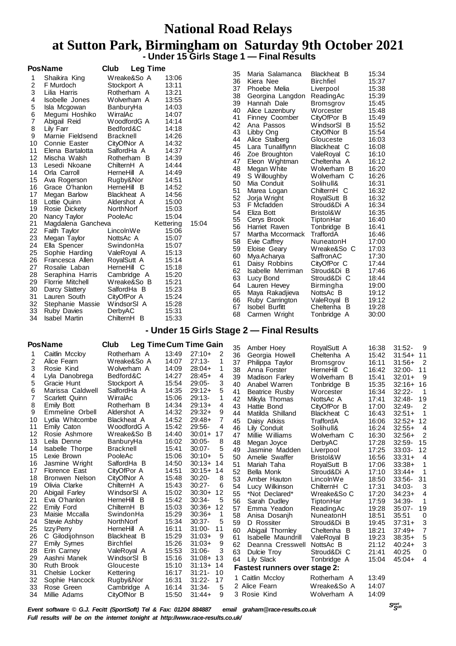### **National Road Relays**

#### **at Sutton Park, Birmingham on Saturday 9th October 2021 - Under 15 Girls Stage 1 — Final Results**

| 35<br>Maria Salamanca<br>Wreake&So A<br>Shaikira King<br>13:06<br>36<br>Kiera Nee<br>$\overline{c}$<br>13:11<br>Stockport A<br>F Murdoch<br>37<br>Phoebe Melia<br>3<br>13:21<br>Lilia Harris<br>Rotherham A<br>38<br>Georgina Langdon<br>13:55<br>4<br>Isobelle Jones<br>Wolverham A<br>39<br>Hannah Dale<br>5<br>14:03<br>Isla Mcgowan<br>BanburyHa<br>40<br>Alice Lazenbury<br>6<br>14:07<br>Megumi Hoshiko<br>WirralAc                                                                                                                                                                                                                                                                                                                                                                                                                                                                                                                                                                                                                                                                                                                                                                                                                                                                                                                                                                                                                                                                                                                                                                                                                                                                                                                                                                                                                                                                                                                                                                                                              | Blackheat B<br><b>Birchfiel</b><br>Liverpool<br>ReadingAc<br>Bromsgrov<br>Worcester<br>CityOfPor B<br>WindsorSI B<br>CityOfNor B<br>Glouceste                                                                                                                                                                                                        | 15:34<br>15:37<br>15:38<br>15:39<br>15:45<br>15:48<br>15:49<br>15:52<br>15:54<br>16:03                                                                                                                               |
|----------------------------------------------------------------------------------------------------------------------------------------------------------------------------------------------------------------------------------------------------------------------------------------------------------------------------------------------------------------------------------------------------------------------------------------------------------------------------------------------------------------------------------------------------------------------------------------------------------------------------------------------------------------------------------------------------------------------------------------------------------------------------------------------------------------------------------------------------------------------------------------------------------------------------------------------------------------------------------------------------------------------------------------------------------------------------------------------------------------------------------------------------------------------------------------------------------------------------------------------------------------------------------------------------------------------------------------------------------------------------------------------------------------------------------------------------------------------------------------------------------------------------------------------------------------------------------------------------------------------------------------------------------------------------------------------------------------------------------------------------------------------------------------------------------------------------------------------------------------------------------------------------------------------------------------------------------------------------------------------------------------------------------------|------------------------------------------------------------------------------------------------------------------------------------------------------------------------------------------------------------------------------------------------------------------------------------------------------------------------------------------------------|----------------------------------------------------------------------------------------------------------------------------------------------------------------------------------------------------------------------|
| 41<br><b>Finney Coomber</b><br>7<br>WoodfordG A<br>14:14<br>Abigail Reid<br>42<br>Ana Passos<br>8<br>Bedford&C<br>14:18<br>Lily Farr<br>43<br>Libby Ong<br>9<br>14:26<br>Marnie Fieldsend<br><b>Bracknell</b><br>44<br>Alice Stalberg<br>14:32<br>10<br>Connie Easter<br>CityOfNor A<br>45<br>Lara Tunaliflynn<br>14:37<br>11<br>Elena Bartalotta<br>SalfordHa A<br>46<br>Zoe Broughton<br>14:39<br>12<br>Mischa Walsh<br>Rotherham B<br>47<br>Eleon Wightman<br>13<br>Lesedi Nkoane<br>14:44<br>ChilternH A<br>48<br>Megan White<br>14:49<br>14<br>Orla Carroll<br>HerneHill A<br>49<br>S Willoughby<br>15<br>Rugby&Nor<br>14:51<br>Ava Rogerson<br>50<br>Mia Conduit<br>14:52<br>16<br>Grace O'hanlon<br>HerneHill B<br>51<br>Marea Logan<br>14:56<br>17<br>Megan Barlow<br>Blackheat A<br>52<br>Jorja Wright<br>18<br>15:00<br>Lottie Quinn<br>Aldershot A<br>53<br>F Mcfadden<br>19<br>15:03<br>Rosie Dickety<br>NorthNorf<br>54<br>Eliza Bott<br>15:04<br>20<br>PooleAc<br>Nancy Taylor<br>55<br>Cerys Brook<br>21<br>15:04<br>Magdalena Gancheva<br>Kettering<br>56<br>Harriet Raven<br>22<br>LincolnWe<br>15:06<br>Faith Taylor<br>57<br>Martha Mccormack<br>23<br>15:07<br>NottsAc A<br>Megan Taylor<br>58<br>Evie Caffrey<br>15:07<br>24<br>Ella Spencer<br>SwindonHa<br>59<br>Eloise Geary<br>25<br>ValeRoyal A<br>15:13<br>Sophie Harding<br>60<br>Mya Acharya<br>26<br>15:14<br>Francesca Allen<br>RoyalSutt A<br>61<br>Daisy Robbins<br>27<br>15:18<br>Rosalie Laban<br>HerneHill C<br>62<br>Isabelle Merriman<br>28<br>15:20<br>Seraphina Harris<br>Cambridge A<br>63<br>Lucy Bond<br><b>Florrie Mitchell</b><br>15:21<br>29<br>Wreake&So B<br>64<br>Lauren Hevey<br>15:23<br>30<br>Darcy Slattery<br>SalfordHa B<br>65<br>Maya Rakadjieva<br>15:24<br>31<br>CityOfPor A<br>Lauren South<br>66<br>Ruby Carrington<br>15:28<br>32<br>WindsorSI A<br>Stephanie Massie<br>67<br><b>Isobel Burfitt</b><br>33<br>15:31<br>DerbyAC<br><b>Ruby Davies</b><br>68<br>Carmen Wright<br>15:33<br>34<br>ChilternH B<br>Isabel Martin | Blackheat C<br>ValeRoyal C<br>Cheltenha A<br>Wolverham B<br>Wolverham C<br>Solihull&<br>ChilternH C<br>RoyalSutt B<br>Stroud&Di A<br>Bristol&W<br>TiptonHar<br>Tonbridge B<br>TraffordA<br>NuneatonH<br>Wreake&So C<br>SaffronAC<br>CityOfPor C<br>Stroud&Di B<br>Stroud&Di C<br>Birmingha<br>NottsAc B<br>ValeRoyal B<br>Cheltenha B<br>Tonbridge A | 16:08<br>16:10<br>16:12<br>16:20<br>16:26<br>16:31<br>16:32<br>16:32<br>16:34<br>16:35<br>16:40<br>16:41<br>16:46<br>17:00<br>17:03<br>17:30<br>17:44<br>17:46<br>18:44<br>19:00<br>19:12<br>19:12<br>19:28<br>30:00 |

#### **- Under 15 Girls Stage 2 — Final Results**

|          | <b>PosName</b>             | Club                       |                | Leg Time Cum Time Gain |                | 35 | Amber Hoey                           | RoyalSutt A | 16:38 | $31:52 -$  | 9   |
|----------|----------------------------|----------------------------|----------------|------------------------|----------------|----|--------------------------------------|-------------|-------|------------|-----|
|          | Caitlin Mccloy             | Rotherham A                | 13:49          | $27:10+$               | 2              | 36 | Georgia Howell                       | Cheltenha A | 15:42 | $31:54+11$ |     |
| 2        | Alice Fearn                | Wreake&So A                | 14:07          | $27:13-$               | 1              | 37 | Philippa Taylor                      | Bromsgrov   | 16:11 | $31:56+$   | 2   |
| 3        | Rosie Kind                 | Wolverham A                | 14:09          | $28:04+$               | 1              | 38 | Anna Forster                         | HerneHill C | 16:42 | $32:00 -$  | 11  |
| 4        | Lyla Danobrega             | Bedford&C                  | 14:27          | $28:45+$               | 4              | 39 | Madison Farley                       | Wolverham B | 15:41 | $32:01+$   | 9   |
| 5        | Gracie Hunt                | Stockport A                | 15:54          | $29:05-$               | 3              | 40 | Anabel Warren                        | Tonbridge B | 15:35 | $32:16+16$ |     |
| 6        | Marissa Caldwell           | SalfordHa A                | 14:35          | $29:12+$               | 5              | 41 | Beatrice Rusby                       | Worcester   | 16:34 | $32:22 -$  | 1   |
| 7        | Scarlett Quinn             | WirralAc                   | 15:06          | $29:13-$               | 1              | 42 | Mikyla Thomas                        | NottsAc A   | 17:41 | $32:48-$   | 19  |
| 8        | <b>Emily Bott</b>          | Rotherham B                | 14:34          | $29:13+$               | 4              | 43 | Hattie Bond                          | CityOfPor B | 17:00 | $32:49-$   | 2   |
| 9        | Emmeline Orbell            | Aldershot A                | 14:32          | $29:32+$               | 9              | 44 | Matilda Shilland                     | Blackheat C | 16:43 | $32:51+$   |     |
| 10       | Lydia Whitcombe            | Blackheat A                | 14:52          | $29:48+$               | $\overline{7}$ | 45 | Daisy Atkiss                         | TraffordA   | 16:06 | $32:52+$   | 12  |
| 11       | Emily Caton                | WoodfordG A                | 15:42          | 29:56-                 | 4              | 46 | Lily Conduit                         | Solihull&   | 16:24 | $32:55+$   | 4   |
| 12       | Rosie Ashmore              | Wreake&So B                | 14:40          | $30:01+$               | 17             | 47 | Millie Williams                      | Wolverham C | 16:30 | $32:56+$   | 2   |
| 13       | Leila Denne                | BanburyHa                  | 16:02          | $30:05 -$              | 8              | 48 | Megan Joyce                          | DerbyAC     | 17:28 | 32:59-     | 15  |
| 14       | Isabelle Thorpe            | <b>Bracknell</b>           | 15:41          | $30:07 -$              | 5              | 49 | Jasmine Madden                       | Liverpool   | 17:25 | $33:03-$   | 12  |
| 15       | Lexie Brown                | PooleAc                    | 15:06          | $30:10+$               | 5              | 50 | Amelie Swaffer                       | Bristol&W   | 16:56 | $33:31+$   | 4   |
| 16       | Jasmine Wright             | SalfordHa B                | 14:50          | $30:13+$               | 14             | 51 | Mariah Taha                          | RoyalSutt B | 17:06 | $33:38+$   |     |
| 17       | <b>Florence East</b>       | CityOfPor A                | 14:51          | $30:15+$               | 14             | 52 | Bella Monk                           | Stroud&Di A | 17:10 | $33:44+$   |     |
| 18       | Bronwen Nelson             | CityOfNor A                | 15:48          | $30:20 -$              | 8              | 53 | Amber Hauton                         | LincolnWe   | 18:50 | $33:56-$   | -31 |
| 19       | Olivia Clarke              | ChilternH A                | 15:43          | $30:27 -$              | 6              | 54 | Lucy Wilkinson                       | ChilternH C | 17:31 | 34:03-     | 3   |
| 20       | Abigail Farley             | WindsorSI A                | 15:02          | $30:30+$               | 12             | 55 | *Not Declared*                       | Wreake&So C | 17:20 | $34:23+$   | 4   |
| 21       | Eva O'hanlon               | HerneHill B                | 15:42          | $30:34-$               | 5              | 56 | Sarah Dudley                         | TiptonHar   | 17:59 | 34:39-     |     |
| 22       | Emily Ford                 | ChilternH B                | 15:03          | $30:36+$               | 12             | 57 | Emma Yeadon                          | ReadingAc   | 19:28 | $35:07 -$  | 19  |
| 23       | Maisie Mccalla             | SwindonHa                  | 15:29          | $30:36+$               | 1              | 58 | Anisa Dosanih                        | NuneatonH   | 18:51 | 35:51      | 0   |
| 24       | Stevie Ashby               | NorthNorf                  | 15:34          | $30:37 -$              | 5              | 59 | D Rossiter                           | Stroud&Di B | 19:45 | $37:31+$   | 3   |
| 25       | Izzy Perry                 | HerneHill A                | 16:11          | $31:00 -$              | 11             | 60 | Abigail Thornley                     | Cheltenha B | 18:21 | $37:49+$   | 7   |
| 26       | C Gilodijohnson            | Blackheat B                | 15:29          | $31:03+$               | 9              | 61 | <b>Isabelle Maundrill</b>            | ValeRoyal B | 19:23 | $38:35+$   | 5   |
| 27       | <b>Emily Symes</b>         | <b>Birchfiel</b>           | 15:26          | $31:03+$               | 9              | 62 | Deanna Cresswell                     | NottsAc B   | 21:12 | $40:24+$   | 3   |
| 28       | Erin Carney                | ValeRoyal A                | 15:53          | $31:06 -$              | 3              | 63 | Dulcie Troy                          | Stroud&Di C | 21:41 | 40:25      | 0   |
| 29       | Aashni Manek               | WindsorSI B                | 15:16          | $31:08+$               | 13             | 64 | Lily Slack                           | Tonbridge A | 15:04 | $45:04+$   | 4   |
| 30       | <b>Ruth Brook</b>          | Glouceste                  | 15:10          | $31:13+$               | -14            |    | <b>Fastest runners over stage 2:</b> |             |       |            |     |
| 31<br>32 | Chelsie Locker             | Kettering                  | 16:17<br>16:31 | $31:21 -$<br>$31:22 -$ | 10<br>17       |    | 1 Caitlin Mccloy                     | Rotherham A | 13:49 |            |     |
| 33       | Sophie Hancock             | Rugby&Nor                  | 16:14          | $31:34-$               | 5              |    | 2 Alice Fearn                        | Wreake&So A | 14:07 |            |     |
| 34       | Rose Green<br>Millie Adams | Cambridge A<br>CityOfNor B | 15:50          | $31:44+$               | 9              |    | 3 Rosie Kind                         | Wolverham A | 14:09 |            |     |
|          |                            |                            |                |                        |                |    |                                      |             |       |            |     |

 *Soft Event software © G.J. Fecitt (SportSoft) Tel & Fax: 01204 884887 email graham@race-results.co.uk Full results will be on the internet tonight at http://www.race-results.co.uk/*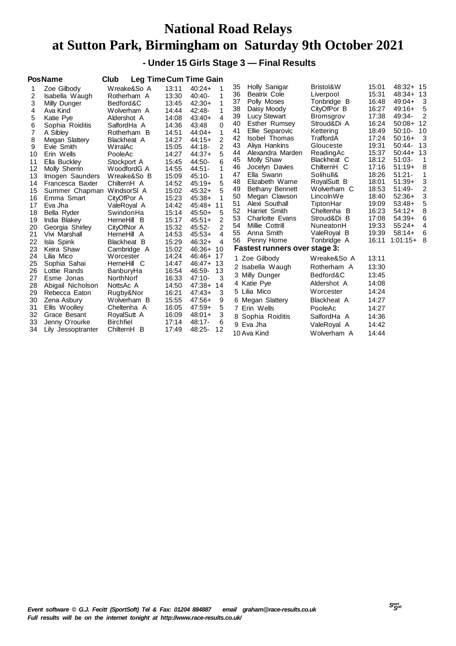# **National Road Relays at Sutton Park, Birmingham on Saturday 9th October 2021**

 **- Under 15 Girls Stage 3 — Final Results**

| Zoe Gilbody     | Wreake&So A                                                                                                                                                                                                                                                                                                                                                     | 13:11                                                                                                                                                                                                                                                                                                                       | $40:24+$                                                                                                                                                                                  | 35                                                                                                                                                                                                                                                                                                                                                                                                              | Holly Sanigar                                                                                                              | Bristol&W                                                                                                                                                                                                                                                                                                                                                                                                                                                                                                                                                       | 15:01                                                                                                                                                                                                                                                                                                                                                                                                                         | 48:32+ 15                                                                                                                                                                                                                                       |                                                                                                                                                                                                                                                                 |
|-----------------|-----------------------------------------------------------------------------------------------------------------------------------------------------------------------------------------------------------------------------------------------------------------------------------------------------------------------------------------------------------------|-----------------------------------------------------------------------------------------------------------------------------------------------------------------------------------------------------------------------------------------------------------------------------------------------------------------------------|-------------------------------------------------------------------------------------------------------------------------------------------------------------------------------------------|-----------------------------------------------------------------------------------------------------------------------------------------------------------------------------------------------------------------------------------------------------------------------------------------------------------------------------------------------------------------------------------------------------------------|----------------------------------------------------------------------------------------------------------------------------|-----------------------------------------------------------------------------------------------------------------------------------------------------------------------------------------------------------------------------------------------------------------------------------------------------------------------------------------------------------------------------------------------------------------------------------------------------------------------------------------------------------------------------------------------------------------|-------------------------------------------------------------------------------------------------------------------------------------------------------------------------------------------------------------------------------------------------------------------------------------------------------------------------------------------------------------------------------------------------------------------------------|-------------------------------------------------------------------------------------------------------------------------------------------------------------------------------------------------------------------------------------------------|-----------------------------------------------------------------------------------------------------------------------------------------------------------------------------------------------------------------------------------------------------------------|
| Isabella Waugh  | Rotherham A                                                                                                                                                                                                                                                                                                                                                     | 13:30                                                                                                                                                                                                                                                                                                                       | 1<br>$40:40-$                                                                                                                                                                             |                                                                                                                                                                                                                                                                                                                                                                                                                 |                                                                                                                            |                                                                                                                                                                                                                                                                                                                                                                                                                                                                                                                                                                 |                                                                                                                                                                                                                                                                                                                                                                                                                               |                                                                                                                                                                                                                                                 |                                                                                                                                                                                                                                                                 |
| Milly Dunger    | Bedford&C                                                                                                                                                                                                                                                                                                                                                       | 13:45                                                                                                                                                                                                                                                                                                                       | 1<br>$42:30+$                                                                                                                                                                             |                                                                                                                                                                                                                                                                                                                                                                                                                 |                                                                                                                            |                                                                                                                                                                                                                                                                                                                                                                                                                                                                                                                                                                 |                                                                                                                                                                                                                                                                                                                                                                                                                               |                                                                                                                                                                                                                                                 | 3                                                                                                                                                                                                                                                               |
| Ava Kind        | Wolverham A                                                                                                                                                                                                                                                                                                                                                     | 14:44                                                                                                                                                                                                                                                                                                                       | 1<br>$42:48-$                                                                                                                                                                             |                                                                                                                                                                                                                                                                                                                                                                                                                 |                                                                                                                            |                                                                                                                                                                                                                                                                                                                                                                                                                                                                                                                                                                 |                                                                                                                                                                                                                                                                                                                                                                                                                               |                                                                                                                                                                                                                                                 | 5                                                                                                                                                                                                                                                               |
| Katie Pye       | Aldershot A                                                                                                                                                                                                                                                                                                                                                     | 14:08                                                                                                                                                                                                                                                                                                                       | 4<br>$43:40+$                                                                                                                                                                             |                                                                                                                                                                                                                                                                                                                                                                                                                 |                                                                                                                            |                                                                                                                                                                                                                                                                                                                                                                                                                                                                                                                                                                 |                                                                                                                                                                                                                                                                                                                                                                                                                               |                                                                                                                                                                                                                                                 | 2                                                                                                                                                                                                                                                               |
| Sophia Roiditis | SalfordHa A                                                                                                                                                                                                                                                                                                                                                     | 14:36                                                                                                                                                                                                                                                                                                                       | 43:48<br>0                                                                                                                                                                                |                                                                                                                                                                                                                                                                                                                                                                                                                 |                                                                                                                            |                                                                                                                                                                                                                                                                                                                                                                                                                                                                                                                                                                 |                                                                                                                                                                                                                                                                                                                                                                                                                               |                                                                                                                                                                                                                                                 | -12                                                                                                                                                                                                                                                             |
| A Sibley        | Rotherham B                                                                                                                                                                                                                                                                                                                                                     | 14:51                                                                                                                                                                                                                                                                                                                       | 1<br>$44:04+$                                                                                                                                                                             |                                                                                                                                                                                                                                                                                                                                                                                                                 |                                                                                                                            |                                                                                                                                                                                                                                                                                                                                                                                                                                                                                                                                                                 |                                                                                                                                                                                                                                                                                                                                                                                                                               |                                                                                                                                                                                                                                                 |                                                                                                                                                                                                                                                                 |
|                 | <b>Blackheat A</b>                                                                                                                                                                                                                                                                                                                                              | 14:27                                                                                                                                                                                                                                                                                                                       | 2<br>$44:15+$                                                                                                                                                                             |                                                                                                                                                                                                                                                                                                                                                                                                                 |                                                                                                                            |                                                                                                                                                                                                                                                                                                                                                                                                                                                                                                                                                                 |                                                                                                                                                                                                                                                                                                                                                                                                                               |                                                                                                                                                                                                                                                 | 3                                                                                                                                                                                                                                                               |
| Evie Smith      | WirralAc                                                                                                                                                                                                                                                                                                                                                        | 15:05                                                                                                                                                                                                                                                                                                                       | 2<br>44:18-                                                                                                                                                                               |                                                                                                                                                                                                                                                                                                                                                                                                                 |                                                                                                                            |                                                                                                                                                                                                                                                                                                                                                                                                                                                                                                                                                                 |                                                                                                                                                                                                                                                                                                                                                                                                                               |                                                                                                                                                                                                                                                 | -13                                                                                                                                                                                                                                                             |
| Erin Wells      | PooleAc                                                                                                                                                                                                                                                                                                                                                         | 14:27                                                                                                                                                                                                                                                                                                                       | 5<br>$44:37+$                                                                                                                                                                             |                                                                                                                                                                                                                                                                                                                                                                                                                 |                                                                                                                            |                                                                                                                                                                                                                                                                                                                                                                                                                                                                                                                                                                 |                                                                                                                                                                                                                                                                                                                                                                                                                               |                                                                                                                                                                                                                                                 |                                                                                                                                                                                                                                                                 |
| Ella Buckley    | Stockport A                                                                                                                                                                                                                                                                                                                                                     | 15:45                                                                                                                                                                                                                                                                                                                       | 44:50-                                                                                                                                                                                    |                                                                                                                                                                                                                                                                                                                                                                                                                 |                                                                                                                            |                                                                                                                                                                                                                                                                                                                                                                                                                                                                                                                                                                 |                                                                                                                                                                                                                                                                                                                                                                                                                               |                                                                                                                                                                                                                                                 |                                                                                                                                                                                                                                                                 |
| Molly Sherrin   | WoodfordG A                                                                                                                                                                                                                                                                                                                                                     | 14:55                                                                                                                                                                                                                                                                                                                       | 1<br>44:51-                                                                                                                                                                               |                                                                                                                                                                                                                                                                                                                                                                                                                 |                                                                                                                            |                                                                                                                                                                                                                                                                                                                                                                                                                                                                                                                                                                 |                                                                                                                                                                                                                                                                                                                                                                                                                               |                                                                                                                                                                                                                                                 | 8                                                                                                                                                                                                                                                               |
| Imogen Saunders | Wreake&So B                                                                                                                                                                                                                                                                                                                                                     | 15:09                                                                                                                                                                                                                                                                                                                       | $45:10-$                                                                                                                                                                                  |                                                                                                                                                                                                                                                                                                                                                                                                                 |                                                                                                                            |                                                                                                                                                                                                                                                                                                                                                                                                                                                                                                                                                                 |                                                                                                                                                                                                                                                                                                                                                                                                                               |                                                                                                                                                                                                                                                 |                                                                                                                                                                                                                                                                 |
|                 |                                                                                                                                                                                                                                                                                                                                                                 |                                                                                                                                                                                                                                                                                                                             |                                                                                                                                                                                           |                                                                                                                                                                                                                                                                                                                                                                                                                 |                                                                                                                            |                                                                                                                                                                                                                                                                                                                                                                                                                                                                                                                                                                 |                                                                                                                                                                                                                                                                                                                                                                                                                               |                                                                                                                                                                                                                                                 | 3                                                                                                                                                                                                                                                               |
|                 | WindsorSI A                                                                                                                                                                                                                                                                                                                                                     |                                                                                                                                                                                                                                                                                                                             |                                                                                                                                                                                           |                                                                                                                                                                                                                                                                                                                                                                                                                 |                                                                                                                            |                                                                                                                                                                                                                                                                                                                                                                                                                                                                                                                                                                 |                                                                                                                                                                                                                                                                                                                                                                                                                               |                                                                                                                                                                                                                                                 | 2                                                                                                                                                                                                                                                               |
|                 |                                                                                                                                                                                                                                                                                                                                                                 |                                                                                                                                                                                                                                                                                                                             |                                                                                                                                                                                           |                                                                                                                                                                                                                                                                                                                                                                                                                 |                                                                                                                            |                                                                                                                                                                                                                                                                                                                                                                                                                                                                                                                                                                 |                                                                                                                                                                                                                                                                                                                                                                                                                               |                                                                                                                                                                                                                                                 | 3                                                                                                                                                                                                                                                               |
|                 |                                                                                                                                                                                                                                                                                                                                                                 |                                                                                                                                                                                                                                                                                                                             |                                                                                                                                                                                           |                                                                                                                                                                                                                                                                                                                                                                                                                 |                                                                                                                            |                                                                                                                                                                                                                                                                                                                                                                                                                                                                                                                                                                 |                                                                                                                                                                                                                                                                                                                                                                                                                               |                                                                                                                                                                                                                                                 | 5                                                                                                                                                                                                                                                               |
|                 |                                                                                                                                                                                                                                                                                                                                                                 |                                                                                                                                                                                                                                                                                                                             |                                                                                                                                                                                           |                                                                                                                                                                                                                                                                                                                                                                                                                 |                                                                                                                            |                                                                                                                                                                                                                                                                                                                                                                                                                                                                                                                                                                 |                                                                                                                                                                                                                                                                                                                                                                                                                               |                                                                                                                                                                                                                                                 | 8                                                                                                                                                                                                                                                               |
|                 |                                                                                                                                                                                                                                                                                                                                                                 |                                                                                                                                                                                                                                                                                                                             |                                                                                                                                                                                           |                                                                                                                                                                                                                                                                                                                                                                                                                 |                                                                                                                            |                                                                                                                                                                                                                                                                                                                                                                                                                                                                                                                                                                 |                                                                                                                                                                                                                                                                                                                                                                                                                               |                                                                                                                                                                                                                                                 | 6                                                                                                                                                                                                                                                               |
|                 |                                                                                                                                                                                                                                                                                                                                                                 |                                                                                                                                                                                                                                                                                                                             |                                                                                                                                                                                           |                                                                                                                                                                                                                                                                                                                                                                                                                 |                                                                                                                            |                                                                                                                                                                                                                                                                                                                                                                                                                                                                                                                                                                 |                                                                                                                                                                                                                                                                                                                                                                                                                               |                                                                                                                                                                                                                                                 | 4                                                                                                                                                                                                                                                               |
|                 |                                                                                                                                                                                                                                                                                                                                                                 |                                                                                                                                                                                                                                                                                                                             |                                                                                                                                                                                           |                                                                                                                                                                                                                                                                                                                                                                                                                 |                                                                                                                            |                                                                                                                                                                                                                                                                                                                                                                                                                                                                                                                                                                 |                                                                                                                                                                                                                                                                                                                                                                                                                               |                                                                                                                                                                                                                                                 | 6                                                                                                                                                                                                                                                               |
|                 |                                                                                                                                                                                                                                                                                                                                                                 |                                                                                                                                                                                                                                                                                                                             |                                                                                                                                                                                           |                                                                                                                                                                                                                                                                                                                                                                                                                 |                                                                                                                            |                                                                                                                                                                                                                                                                                                                                                                                                                                                                                                                                                                 |                                                                                                                                                                                                                                                                                                                                                                                                                               |                                                                                                                                                                                                                                                 |                                                                                                                                                                                                                                                                 |
|                 |                                                                                                                                                                                                                                                                                                                                                                 |                                                                                                                                                                                                                                                                                                                             |                                                                                                                                                                                           |                                                                                                                                                                                                                                                                                                                                                                                                                 |                                                                                                                            |                                                                                                                                                                                                                                                                                                                                                                                                                                                                                                                                                                 |                                                                                                                                                                                                                                                                                                                                                                                                                               |                                                                                                                                                                                                                                                 |                                                                                                                                                                                                                                                                 |
|                 |                                                                                                                                                                                                                                                                                                                                                                 |                                                                                                                                                                                                                                                                                                                             |                                                                                                                                                                                           |                                                                                                                                                                                                                                                                                                                                                                                                                 |                                                                                                                            | Wreake&So A                                                                                                                                                                                                                                                                                                                                                                                                                                                                                                                                                     | 13:11                                                                                                                                                                                                                                                                                                                                                                                                                         |                                                                                                                                                                                                                                                 |                                                                                                                                                                                                                                                                 |
|                 |                                                                                                                                                                                                                                                                                                                                                                 |                                                                                                                                                                                                                                                                                                                             |                                                                                                                                                                                           |                                                                                                                                                                                                                                                                                                                                                                                                                 |                                                                                                                            |                                                                                                                                                                                                                                                                                                                                                                                                                                                                                                                                                                 |                                                                                                                                                                                                                                                                                                                                                                                                                               |                                                                                                                                                                                                                                                 |                                                                                                                                                                                                                                                                 |
|                 |                                                                                                                                                                                                                                                                                                                                                                 |                                                                                                                                                                                                                                                                                                                             |                                                                                                                                                                                           |                                                                                                                                                                                                                                                                                                                                                                                                                 |                                                                                                                            |                                                                                                                                                                                                                                                                                                                                                                                                                                                                                                                                                                 |                                                                                                                                                                                                                                                                                                                                                                                                                               |                                                                                                                                                                                                                                                 |                                                                                                                                                                                                                                                                 |
|                 |                                                                                                                                                                                                                                                                                                                                                                 |                                                                                                                                                                                                                                                                                                                             |                                                                                                                                                                                           |                                                                                                                                                                                                                                                                                                                                                                                                                 |                                                                                                                            |                                                                                                                                                                                                                                                                                                                                                                                                                                                                                                                                                                 |                                                                                                                                                                                                                                                                                                                                                                                                                               |                                                                                                                                                                                                                                                 |                                                                                                                                                                                                                                                                 |
|                 |                                                                                                                                                                                                                                                                                                                                                                 |                                                                                                                                                                                                                                                                                                                             |                                                                                                                                                                                           |                                                                                                                                                                                                                                                                                                                                                                                                                 |                                                                                                                            |                                                                                                                                                                                                                                                                                                                                                                                                                                                                                                                                                                 |                                                                                                                                                                                                                                                                                                                                                                                                                               |                                                                                                                                                                                                                                                 |                                                                                                                                                                                                                                                                 |
|                 |                                                                                                                                                                                                                                                                                                                                                                 |                                                                                                                                                                                                                                                                                                                             |                                                                                                                                                                                           |                                                                                                                                                                                                                                                                                                                                                                                                                 |                                                                                                                            |                                                                                                                                                                                                                                                                                                                                                                                                                                                                                                                                                                 |                                                                                                                                                                                                                                                                                                                                                                                                                               |                                                                                                                                                                                                                                                 |                                                                                                                                                                                                                                                                 |
|                 |                                                                                                                                                                                                                                                                                                                                                                 |                                                                                                                                                                                                                                                                                                                             |                                                                                                                                                                                           |                                                                                                                                                                                                                                                                                                                                                                                                                 |                                                                                                                            |                                                                                                                                                                                                                                                                                                                                                                                                                                                                                                                                                                 |                                                                                                                                                                                                                                                                                                                                                                                                                               |                                                                                                                                                                                                                                                 |                                                                                                                                                                                                                                                                 |
|                 |                                                                                                                                                                                                                                                                                                                                                                 |                                                                                                                                                                                                                                                                                                                             |                                                                                                                                                                                           |                                                                                                                                                                                                                                                                                                                                                                                                                 |                                                                                                                            |                                                                                                                                                                                                                                                                                                                                                                                                                                                                                                                                                                 |                                                                                                                                                                                                                                                                                                                                                                                                                               |                                                                                                                                                                                                                                                 |                                                                                                                                                                                                                                                                 |
|                 |                                                                                                                                                                                                                                                                                                                                                                 |                                                                                                                                                                                                                                                                                                                             |                                                                                                                                                                                           |                                                                                                                                                                                                                                                                                                                                                                                                                 |                                                                                                                            | SalfordHa A                                                                                                                                                                                                                                                                                                                                                                                                                                                                                                                                                     | 14:36                                                                                                                                                                                                                                                                                                                                                                                                                         |                                                                                                                                                                                                                                                 |                                                                                                                                                                                                                                                                 |
|                 |                                                                                                                                                                                                                                                                                                                                                                 |                                                                                                                                                                                                                                                                                                                             |                                                                                                                                                                                           |                                                                                                                                                                                                                                                                                                                                                                                                                 |                                                                                                                            | ValeRoyal A                                                                                                                                                                                                                                                                                                                                                                                                                                                                                                                                                     | 14:42                                                                                                                                                                                                                                                                                                                                                                                                                         |                                                                                                                                                                                                                                                 |                                                                                                                                                                                                                                                                 |
|                 |                                                                                                                                                                                                                                                                                                                                                                 |                                                                                                                                                                                                                                                                                                                             |                                                                                                                                                                                           |                                                                                                                                                                                                                                                                                                                                                                                                                 |                                                                                                                            | Wolverham A                                                                                                                                                                                                                                                                                                                                                                                                                                                                                                                                                     | 14:44                                                                                                                                                                                                                                                                                                                                                                                                                         |                                                                                                                                                                                                                                                 |                                                                                                                                                                                                                                                                 |
|                 | PosName<br>Megan Slattery<br>Francesca Baxter<br>Emma Smart<br>Eva Jha<br>Bella Ryder<br>India Blakey<br>Georgia Shirley<br>Vivi Marshall<br>Isla Spink<br>Keira Shaw<br>Lilia Mico<br>Sophia Sahai<br>Lottie Rands<br>Esme Jonas<br>Abigail Nicholson<br>Rebecca Eaton<br>Zena Asbury<br>Ellis Woolley<br>Grace Besant<br>Jenny O'rourke<br>Lily Jessoptranter | Club<br>ChilternH A<br>Summer Chapman<br>CityOfPor A<br>ValeRoyal A<br>SwindonHa<br>HerneHill B<br>CityOfNor A<br>HerneHill A<br>Blackheat B<br>Cambridge A<br>Worcester<br>HerneHill C<br>BanburyHa<br>NorthNorf<br>NottsAc A<br>Rugby&Nor<br>Wolverham B<br>Cheltenha A<br>RoyalSutt A<br><b>Birchfiel</b><br>ChilternH B | 14:52<br>15:02<br>15:23<br>14:42<br>15:14<br>15:17<br>15:32<br>14:53<br>15:29<br>15:02<br>14:24<br>14:47<br>16:54<br>16:33<br>14:50<br>16:21<br>15:55<br>16:05<br>16:09<br>17:14<br>17:49 | Leg Time Cum Time Gain<br>1<br>5<br>$45:19+$<br>5<br>$45:32+$<br>$45:38+$<br>$45:48+$<br>11<br>5<br>$45:50+$<br>$\overline{2}$<br>$45:51+$<br>$\mathfrak{p}$<br>45:52-<br>$45:53+$<br>4<br>$46:32+$<br>4<br>$46:36+10$<br>46:46+<br>17<br>$46:47+$<br>-13<br>46:59-<br>13<br>3<br>$47:10-$<br>47:38+<br>14<br>$47:43+$<br>3<br>$47:56+$<br>9<br>$47:59+$<br>5<br>3<br>$48:01+$<br>$48:17-$<br>6<br>48:25-<br>12 | 36<br>37<br>38<br>39<br>40<br>41<br>42<br>43<br>44<br>45<br>46<br>47<br>48<br>49<br>50<br>51<br>52<br>53<br>54<br>55<br>56 | Beatrix Cole<br>Polly Moses<br>Daisy Moody<br>Lucy Stewart<br><b>Esther Rumsey</b><br>Ellie Separovic<br><b>Isobel Thomas</b><br>Aliya Hankins<br>Alexandra Marden<br>Molly Shaw<br>Jocelyn Davies<br>Ella Swann<br>Elizabeth Warne<br>Bethany Bennett<br>Megan Clawson<br>Alexi Southall<br>Harriet Smith<br><b>Charlotte Evans</b><br>Millie Cottrill<br>Anna Smith<br>Penny Horne<br>1 Zoe Gilbody<br>2 Isabella Waugh<br>3 Milly Dunger<br>4 Katie Pye<br>5 Lilia Mico<br>6 Megan Slattery<br>7 Erin Wells<br>8 Sophia Roiditis<br>9 Eva Jha<br>10 Ava Kind | Liverpool<br>Tonbridge B<br>CityOfPor B<br>Bromsgrov<br>Stroud&Di A<br>Kettering<br>TraffordA<br>Glouceste<br>ReadingAc<br>Blackheat C<br>ChilternH C<br>Solihull&<br>RoyalSutt B<br>Wolverham C<br>LincolnWe<br>TiptonHar<br>Cheltenha B<br>Stroud&Di B<br>NuneatonH<br>ValeRoyal B<br>Tonbridge A<br><b>Fastest runners over stage 3:</b><br>Rotherham A<br>Bedford&C<br>Aldershot A<br>Worcester<br>Blackheat A<br>PooleAc | 15:31<br>16:48<br>16:27<br>17:38<br>16:24<br>18:49<br>17:24<br>19:31<br>15:37<br>18:12<br>17:16<br>18:26<br>18:01<br>18:53<br>18:40<br>19:09<br>16:23<br>17:08<br>19:33<br>19:39<br>16:11<br>13:30<br>13:45<br>14:08<br>14:24<br>14:27<br>14:27 | 48:34+ 13<br>$49:04+$<br>$49:16+$<br>49:34-<br>$50:08+$<br>$50:10-10$<br>$50:16+$<br>$50:44-$<br>$50:44+13$<br>$51:03-$<br>$51:19+$<br>$51:21 -$<br>$51:39+$<br>$51:49-$<br>$52:36+$<br>$53:48+$<br>$54:12+$<br>$54:39+$<br>$55:24+$<br>$58:14+$<br>$1:01:15+8$ |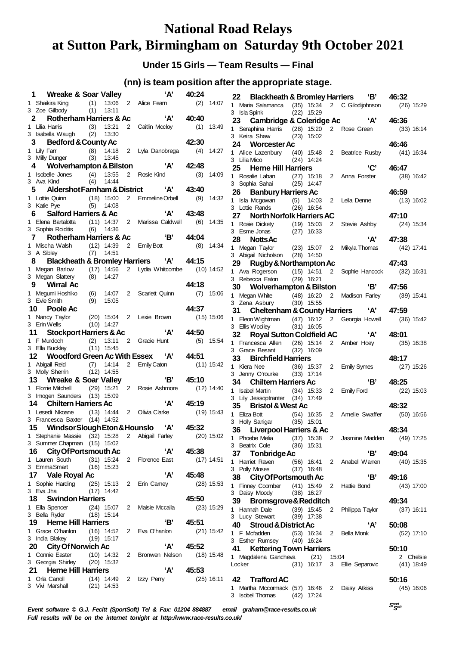# **National Road Relays at Sutton Park, Birmingham on Saturday 9th October 2021**

**Under 15 Girls — Team Results — Final**

#### **(nn) is team position after the appropriate stage.**

|    | 1 Wreake & Soar Valley                                                 |      |                              |                | ʻA'                                     | 40:24        |              |
|----|------------------------------------------------------------------------|------|------------------------------|----------------|-----------------------------------------|--------------|--------------|
|    | 1 Shaikira King (1)<br>3 Zoe Gilbody (1)                               |      |                              |                | 13:06 2 Alice Fearn                     | (2)          | 14:07        |
|    |                                                                        |      | 13:11                        |                | Rotherham Harriers & Ac 'A'             |              |              |
|    | 2                                                                      |      | 13:21                        |                | 2 Caitlin Mccloy                        | 40:40<br>(1) | 13:49        |
|    | 1 Lilia Harris (3) 13:21<br>3 Isabella Waugh (2) 13:30                 |      |                              |                |                                         |              |              |
|    | 3<br><b>Bedford &amp; County Ac</b>                                    |      |                              |                |                                         | 42:30        |              |
|    | 1 Lily Farr                                                            |      |                              |                |                                         |              | 14:27        |
|    | 1 Lily Farr (8) 14:18 2 Lyla Danobrega (4)<br>3 Milly Dunger (3) 13:45 |      |                              |                |                                         |              |              |
|    | 4                                                                      |      |                              |                | Wolverhampton & Bilston 'A'             | 42:48        |              |
|    | 1 Isobelle Jones (4) 13:55<br>3 Ava Kind (4) 14:44                     |      |                              |                | 2 Rosie Kind                            | (3)          | 14:09        |
|    | 5 Aldershot Farnham & District 'A' 43:40                               |      |                              |                |                                         |              |              |
|    | 1 Lottie Quinn (18) 15:00 2 Emmeline Orbell                            |      |                              |                |                                         | (9)          | 14:32        |
|    | 3 Katie Pye                                                            |      | $(5)$ 14:08                  |                |                                         |              |              |
|    | 6 Salford Harriers & Ac                                                |      |                              |                | 'A'                                     | 43:48        |              |
|    | 1 Elena Bartalotta (11) 14:37 2 Marissa Caldwell                       |      |                              |                |                                         | (6)          | 14:35        |
|    | 3 Sophia Roiditis                                                      |      | $(6)$ 14:36                  |                |                                         |              |              |
|    | 7 Rotherham Harriers & Ac 'B'                                          |      |                              |                |                                         | 44:04        |              |
|    | 1 Mischa Walsh (12) 14:39 2 Emily Bott<br>3 A Sibley (7) 14:51         |      |                              |                |                                         | (8)          | 14:34        |
|    |                                                                        |      |                              |                | Blackheath & Bromley Harriers 'A' 44:15 |              |              |
|    | 1 Megan Barlow (17) 14:56 2 Lydia Whitcombe (10) 14:52                 |      |                              |                |                                         |              |              |
|    | 3 Megan Slattery                                                       |      | $(8)$ 14:27                  |                |                                         |              |              |
|    | 9 Wirral Ac                                                            |      |                              |                |                                         | 44:18        |              |
|    | 1 Megumi Hoshiko (6) 14:07                                             |      |                              |                | 2 Scarlett Quinn                        |              | $(7)$ 15:06  |
|    | 3 Evie Smith                                                           | (9)  | 15:05                        |                |                                         |              |              |
|    | 10 Poole Ac                                                            |      |                              |                |                                         | 44:37        |              |
|    | 1 Nancy Taylor (20) 15:04 2 Lexie Brown<br>3 Erin Wells                |      | $(10)$ 14:27                 |                |                                         | $(15)$ 15:06 |              |
|    | 11 Stockport Harriers & Ac                                             |      |                              |                | 'A'                                     | 44:50        |              |
|    | 1 F Murdoch (2) 13:11                                                  |      |                              |                | 2 Gracie Hunt                           |              | $(5)$ 15:54  |
|    | 3 Ella Buckley (11) 15:45                                              |      |                              |                |                                         |              |              |
|    | 12 Woodford Green Ac With Essex 'A'                                    |      |                              |                |                                         | 44:51        |              |
|    | 1 Abigail Reid (7) 14:14<br>3 Molly Sherrin (12) 14:55                 |      |                              |                | 2 Emily Caton                           | $(11)$ 15:42 |              |
|    |                                                                        |      |                              |                |                                         |              |              |
|    | Wreake & Soar Valley<br>13                                             |      |                              |                | 'B'                                     | 45:10        |              |
|    | 1 Florrie Mitchell (29) 15:21 2 Rosie Ashmore                          |      |                              |                |                                         | $(12)$ 14:40 |              |
|    | 3 Imogen Saunders (13) 15:09<br>14<br><b>Chiltern Harriers Ac</b>      |      |                              |                | <b>A</b>                                | 45:19        |              |
|    | 1 Lesedi Nkoane (13) 14:44 2 Olivia Clarke                             |      |                              |                |                                         | $(19)$ 15:43 |              |
|    | 3 Francesca Baxter (14) 14:52                                          |      |                              |                |                                         |              |              |
|    | 15 Windsor Slough Eton & Hounslo 'A'                                   |      |                              |                |                                         | 45:32        |              |
|    | 1 Stephanie Massie (32) 15:28                                          |      |                              | $\overline{a}$ | Abigail Farley                          |              | $(20)$ 15:02 |
|    | 3 Summer Chapman                                                       |      | $(15)$ 15:02                 |                |                                         |              |              |
|    | <b>City Of Portsmouth Ac</b><br>16                                     |      |                              |                | ʻA'                                     | 45:38        |              |
| 1  | Lauren South<br>3 EmmaSmart                                            | (31) | 15:24                        | $\overline{2}$ | <b>Florence East</b>                    |              | $(17)$ 14:51 |
|    | 17 Vale Royal Ac                                                       | (16) | 15:23                        |                | ʻA'                                     | 45:48        |              |
| 1  | Sophie Harding                                                         |      | $(25)$ 15:13                 | 2              | Erin Camey                              |              | $(28)$ 15:53 |
|    | 3 Eva Jha                                                              | (17) | 14:42                        |                |                                         |              |              |
|    | <b>Swindon Harriers</b><br>18                                          |      |                              |                |                                         | 45:50        |              |
|    | 1 Ella Spencer                                                         |      | $(24)$ 15:07                 | 2              | Maisie Mccalla                          |              | $(23)$ 15:29 |
|    | 3 Bella Ryder                                                          |      | (18) 15:14                   |                |                                         |              |              |
|    | 19<br><b>Herne Hill Harriers</b>                                       |      |                              |                | 'В'                                     | 45:51        |              |
| 1. | Grace O'hanlon                                                         |      | $(16)$ 14:52                 | $\mathbf{2}$   | Eva O'hanlon                            |              | $(21)$ 15:42 |
|    | 3 India Blakey                                                         |      | $(19)$ 15:17                 |                | 'А'                                     | 45:52        |              |
| 1. | 20<br><b>City Of Norwich Ac</b><br><b>Connie Easter</b>                |      |                              |                | Bronwen Nelson                          |              |              |
|    | 3 Georgia Shirley                                                      |      | $(10)$ 14:32<br>$(20)$ 15:32 | 2              |                                         |              | $(18)$ 15:48 |
|    | 21<br><b>Herne Hill Harriers</b>                                       |      |                              |                | ʻA'                                     | 45:53        |              |
| 1. | Orla Carroll                                                           | (14) | 14:49                        |                | 2 Izzy Perry                            |              | $(25)$ 16:11 |
| 3  | Vivi Marshall                                                          |      | $(21)$ 14:53                 |                |                                         |              |              |
|    |                                                                        |      |                              |                |                                         |              |              |

| 22 Blackheath & Bromley Harriers 'B'                                        |      |                              |                |                                        | 46:32        |
|-----------------------------------------------------------------------------|------|------------------------------|----------------|----------------------------------------|--------------|
| 1 Maria Salamanca (35) 15:34 2 C Gilodijohnson                              |      |                              |                |                                        | $(26)$ 15:29 |
| 3 Isla Spink                                                                |      | (22) 15:29                   |                |                                        |              |
| 23                                                                          |      |                              |                | Cambridge & Coleridge Ac 'A'           | 46:36        |
| Seraphina Harris (28) 15:20 2 Rose Green<br>1.                              |      |                              |                |                                        | $(33)$ 16:14 |
| 3 Keira Shaw                                                                |      | $(23)$ 15:02                 |                |                                        |              |
| 24 Worcester Ac                                                             |      |                              |                |                                        | 46:46        |
| Alice Lazenbury (40) 15:48<br>1<br>3 Lilia Mico                             |      | $(24)$ 14:24                 | $\mathbf{2}$   | Beatrice Rusby                         | (41) 16:34   |
| 25 Herne Hill Harriers                                                      |      |                              |                | 'C'                                    | 46:47        |
| 1 Rosalie Laban (27) 15:18                                                  |      |                              |                | 2 Anna Forster                         | $(38)$ 16:42 |
| 3 Sophia Sahai (25) 14:47                                                   |      |                              |                |                                        |              |
| 26 Banbury Harriers Ac                                                      |      |                              |                |                                        | 46:59        |
| 1 Isla Mcgowan (5)                                                          |      | 14:03                        |                | 2 Leila Denne                          | $(13)$ 16:02 |
| 3 Lottie Rands                                                              |      | $(26)$ 16:54                 |                |                                        |              |
| 27 North Norfolk Harriers AC                                                |      |                              |                |                                        | 47:10        |
| Rosie Dickety (19) 15:03<br>Esme Jonas (27) 16:33<br>$1 \quad$              |      |                              | $\mathbf{2}$   | Stevie Ashby                           | $(24)$ 15:34 |
| 3 Esme Jonas                                                                |      |                              |                |                                        |              |
| 28 Notts Ac                                                                 |      |                              |                | 'A'                                    | 47:38        |
| 1 Megan Taylor (23) 15:07<br>3 Abigail Nicholson (28) 14:50                 |      | $(23)$ 15:07                 | $\mathbf{2}$   | Mikyla Thomas                          | (42) 17:41   |
|                                                                             |      |                              |                |                                        |              |
| 29<br>Rugby & Northampton Ac                                                |      |                              |                |                                        | 47:43        |
| 1 Ava Rogerson<br>3 Rebecca Eaton                                           |      | $(15)$ 14:51<br>$(29)$ 16:21 |                | 2 Sophie Hancock (32) 16:31            |              |
| 30 Wolverhampton & Bilston                                                  |      |                              |                | 'B'                                    | 47:56        |
| Megan White (48) 16:20<br>1                                                 |      |                              |                | 2 Madison Farley                       | $(39)$ 15:41 |
| 3 Zena Asbury (30) 15:55                                                    |      |                              |                |                                        |              |
| 31 Cheltenham & County Harriers 'A'                                         |      |                              |                |                                        | 47:59        |
| 1 Eleon Wightman (47) 16:12 2 Georgia Howell                                |      |                              |                |                                        | $(36)$ 15:42 |
| 3 Ellis Woolley                                                             |      | $(31)$ 16:05                 |                |                                        |              |
| 32 Royal Sutton Coldfield AC                                                |      |                              |                | 'А'                                    | 48:01        |
| 1 Francesca Allen (26) 15:14 2 Amber Hoey                                   |      |                              |                |                                        | $(35)$ 16:38 |
| 3 Grace Besant                                                              | (32) | 16:09                        |                |                                        |              |
| 33 Birchfield Harriers                                                      |      |                              |                |                                        | 48:17        |
| 1 Kiera Nee                                                                 |      | (36) 15:37                   | $\overline{2}$ | <b>Emily Symes</b>                     | $(27)$ 15:26 |
| 3 Jenny O'rourke (33) 17:14                                                 |      |                              |                |                                        |              |
| <b>Chiltern Harriers Ac</b><br>34                                           |      |                              |                | B'                                     | 48:25        |
| <b>Isabel Martin</b><br>1<br>3 Lily Jessoptranter (34) 17:49                |      | $(34)$ 15:33                 |                | 2 Emily Ford                           | $(22)$ 15:03 |
| 35 —<br><b>Bristol &amp; West Ac</b>                                        |      |                              |                |                                        | 48:32        |
|                                                                             |      |                              |                |                                        | $(50)$ 16:56 |
| 1 Eliza Bott (54) 16:35 2 Amelie Swaffer<br>3 Holly Sanigar (35) 15:01      |      |                              |                |                                        |              |
| 36 Liverpool Harriers & Ac                                                  |      |                              |                |                                        | 48:34        |
| 1 Phoebe Melia                                                              |      |                              |                | (37) 15:38 2 Jasmine Madden (49) 17:25 |              |
| 3 Beatrix Cole                                                              |      | $(36)$ 15:31                 |                |                                        |              |
| 37 Tonbridge Ac                                                             |      |                              |                | 'В'                                    | 49:04        |
| 1 Harriet Raven                                                             |      |                              |                | (56) 16:41 2 Anabel Warren             | $(40)$ 15:35 |
| $(37)$ 16:48<br>3 Polly Moses                                               |      |                              |                |                                        |              |
| 38 City Of Portsmouth Ac                                                    |      |                              |                | 'B'                                    | 49:16        |
| 1 Finney Coomber (41) 15:49 2 Hattie Bond                                   |      |                              |                |                                        | $(43)$ 17:00 |
| 3 Daisy Moody                                                               |      | $(38)$ 16:27                 |                |                                        |              |
| 39 Bromsgrove & Redditch                                                    |      |                              |                |                                        | 49:34        |
| 1 Hannah Dale<br>3 Lucy Stewart (39) 17:38                                  |      |                              |                | (39) 15:45 2 Philippa Taylor           | $(37)$ 16:11 |
|                                                                             |      |                              |                | 'А'                                    |              |
| <b>Stroud &amp; District Ac</b><br>40                                       |      |                              |                |                                        | 50:08        |
| 1 F Mcfadden<br>$1 - F$ iviciadden (53) 16:34<br>3 Esther Rumsey (40) 16:24 |      |                              |                | (53) 16:34 2 Bella Monk                | $(52)$ 17:10 |
| 41 Kettering Town Harriers                                                  |      |                              |                |                                        | 50:10        |
| 1 Magdalena Gancheva (21) 15:04                                             |      |                              |                |                                        | 2 Chelsie    |
| Locker                                                                      |      |                              |                | (31) 16:17 3 Ellie Separovic           | $(41)$ 18:49 |
|                                                                             |      |                              |                |                                        |              |
| 42 Trafford AC                                                              |      |                              |                |                                        | 50:16        |
| 1 Martha Mccormack (57) 16:46 2 Daisy Atkiss                                |      |                              |                |                                        | $(45)$ 16:06 |
| 3 Isobel Thomas (42) 17:24                                                  |      |                              |                |                                        |              |